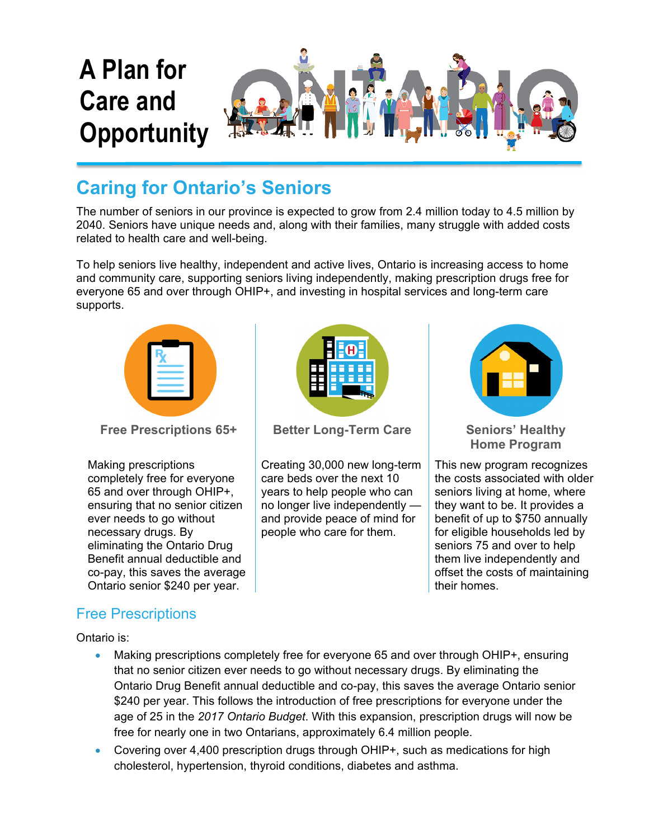

## **Caring for Ontario's Seniors**

The number of seniors in our province is expected to grow from 2.4 million today to 4.5 million by 2040. Seniors have unique needs and, along with their families, many struggle with added costs related to health care and well-being.

To help seniors live healthy, independent and active lives, Ontario is increasing access to home and community care, supporting seniors living independently, making prescription drugs free for everyone 65 and over through OHIP+, and investing in hospital services and long-term care supports.



**Free Prescriptions 65+**

Making prescriptions completely free for everyone 65 and over through OHIP+, ensuring that no senior citizen ever needs to go without necessary drugs. By eliminating the Ontario Drug Benefit annual deductible and co-pay, this saves the average Ontario senior \$240 per year.

# Free Prescriptions

Ontario is:



**Better Long-Term Care Seniors' Healthy** 

Creating 30,000 new long-term care beds over the next 10 years to help people who can no longer live independently and provide peace of mind for people who care for them.



**Home Program**

This new program recognizes the costs associated with older seniors living at home, where they want to be. It provides a benefit of up to \$750 annually for eligible households led by seniors 75 and over to help them live independently and offset the costs of maintaining their homes.

- Making prescriptions completely free for everyone 65 and over through OHIP+, ensuring that no senior citizen ever needs to go without necessary drugs. By eliminating the Ontario Drug Benefit annual deductible and co-pay, this saves the average Ontario senior \$240 per year. This follows the introduction of free prescriptions for everyone under the age of 25 in the *2017 Ontario Budget*. With this expansion, prescription drugs will now be free for nearly one in two Ontarians, approximately 6.4 million people.
- Covering over 4,400 prescription drugs through OHIP+, such as medications for high cholesterol, hypertension, thyroid conditions, diabetes and asthma.